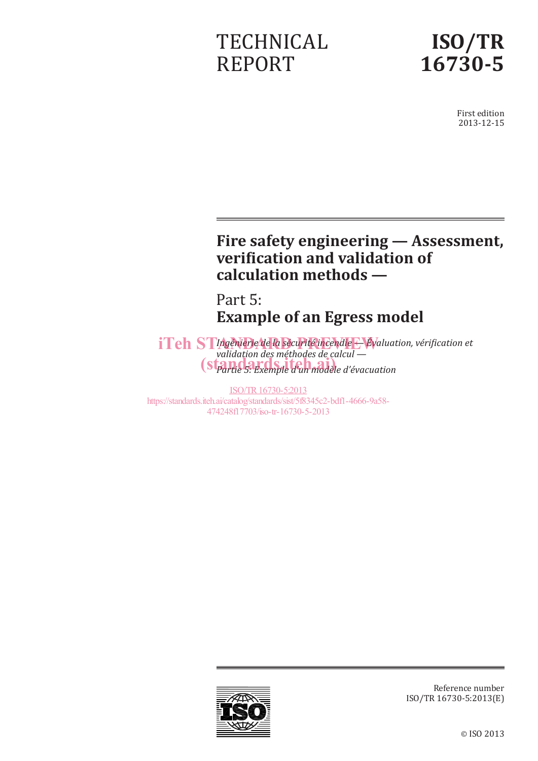# **TECHNICAL** REPORT



First edition 2013-12-15

# **Fire safety engineering — Assessment, verification and validation of calculation methods —**

Part 5: **Example of an Egress model**

*ITeh STIngénierie de la sécurité incendie*  $\div$  Évaluation, vérification et *validation des méthodes de calcul — Partie 5: Exemple d'un modèle d'évacuation* 

ISO/TR16730-5:2013 https://standards.iteh.ai/catalog/standards/sist/5f8345c2-bdf1-4666-9a58- 474248f17703/iso-tr-16730-5-2013



Reference number ISO/TR 16730-5:2013(E)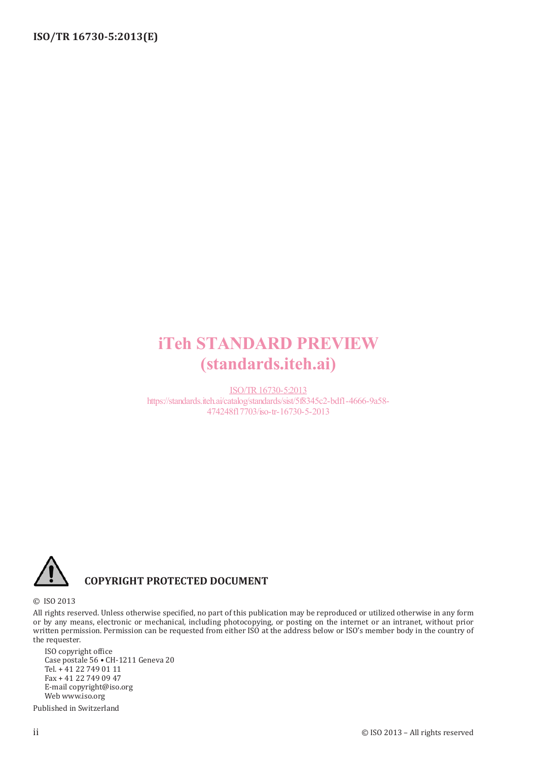# iTeh STANDARD PREVIEW (standards.iteh.ai)

ISO/TR16730-5:2013 https://standards.iteh.ai/catalog/standards/sist/5f8345c2-bdf1-4666-9a58- 474248f17703/iso-tr-16730-5-2013



## **COPYRIGHT PROTECTED DOCUMENT**

© ISO 2013

All rights reserved. Unless otherwise specified, no part of this publication may be reproduced or utilized otherwise in any form or by any means, electronic or mechanical, including photocopying, or posting on the internet or an intranet, without prior written permission. Permission can be requested from either ISO at the address below or ISO's member body in the country of the requester.

ISO copyright office Case postale 56 • CH-1211 Geneva 20 Tel. + 41 22 749 01 11 Fax + 41 22 749 09 47 E-mail copyright@iso.org Web www.iso.org

Published in Switzerland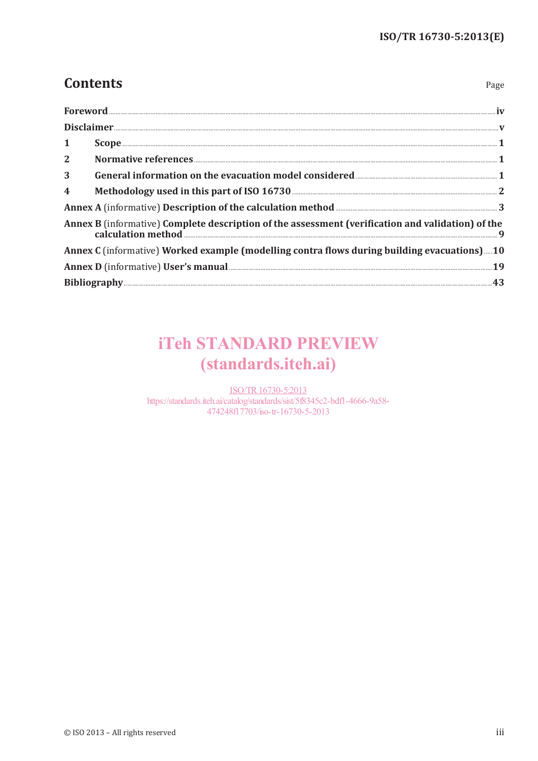Page

## **Contents**

| $\mathbf{1}$            | $\textbf{Scope} \texttt{} \texttt{} \texttt{} \texttt{} \texttt{} \texttt{} \texttt{} \texttt{} \texttt{} \texttt{} \texttt{} \texttt{} \texttt{} \texttt{} \texttt{} \texttt{} \texttt{} \texttt{} \texttt{} \texttt{} \texttt{} \texttt{} \texttt{} \texttt{} \texttt{} \texttt{} \texttt{} \texttt{} \texttt{} \texttt{} \texttt{} \texttt{} \texttt{} \texttt{} \texttt{} \texttt{$ |
|-------------------------|-----------------------------------------------------------------------------------------------------------------------------------------------------------------------------------------------------------------------------------------------------------------------------------------------------------------------------------------------------------------------------------------|
| 2 <sup>1</sup>          |                                                                                                                                                                                                                                                                                                                                                                                         |
| 3 <sup>1</sup>          | General information on the evacuation model considered <b>EXACTER</b> 1                                                                                                                                                                                                                                                                                                                 |
| $\overline{\mathbf{4}}$ | Methodology used in this part of ISO 16730 <b>Methodology</b> uses 2                                                                                                                                                                                                                                                                                                                    |
|                         | Annex A (informative) Description of the calculation method <b>Manufacture 120 annex A</b> (informative) Description of the calculation method                                                                                                                                                                                                                                          |
|                         | Annex B (informative) Complete description of the assessment (verification and validation) of the                                                                                                                                                                                                                                                                                       |
|                         | Annex C (informative) Worked example (modelling contra flows during building evacuations)10                                                                                                                                                                                                                                                                                             |
|                         | -19                                                                                                                                                                                                                                                                                                                                                                                     |
|                         |                                                                                                                                                                                                                                                                                                                                                                                         |

# **iTeh STANDARD PREVIEW** (standards.iteh.ai)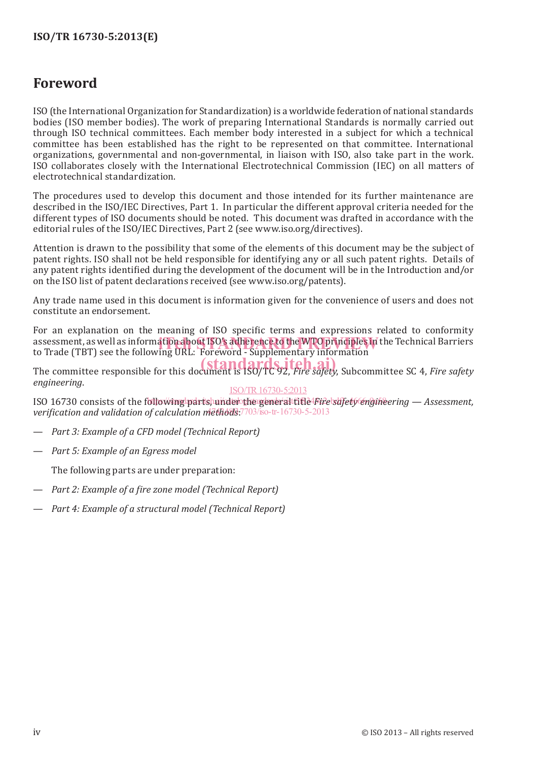### **ISO/TR 16730-5:2013(E)**

## **Foreword**

ISO (the International Organization for Standardization) is a worldwide federation of national standards bodies (ISO member bodies). The work of preparing International Standards is normally carried out through ISO technical committees. Each member body interested in a subject for which a technical committee has been established has the right to be represented on that committee. International organizations, governmental and non-governmental, in liaison with ISO, also take part in the work. ISO collaborates closely with the International Electrotechnical Commission (IEC) on all matters of electrotechnical standardization.

The procedures used to develop this document and those intended for its further maintenance are described in the ISO/IEC Directives, Part 1. In particular the different approval criteria needed for the different types of ISO documents should be noted. This document was drafted in accordance with the editorial rules of the ISO/IEC Directives, Part 2 (see www.iso.org/directives).

Attention is drawn to the possibility that some of the elements of this document may be the subject of patent rights. ISO shall not be held responsible for identifying any or all such patent rights. Details of any patent rights identified during the development of the document will be in the Introduction and/or on the ISO list of patent declarations received (see www.iso.org/patents).

Any trade name used in this document is information given for the convenience of users and does not constitute an endorsement.

For an explanation on the meaning of ISO specific terms and expressions related to conformity assessment, as well as information about ISO's adherence to the WTO principles in the Technical Barriers<br>to Trade (TBT) see the following URL: Foreword - Supplementary information to Trade (TBT) see the following URL: Foreword - Supplementary information

The committee responsible for this document is ISO/TC 92, *Fire safety*, Subcommittee SC 4, *Fire safety engineering*.

#### ISO/TR16730-5:2013

ISO 16730 consists of the following parts, under the general title *Fire suffety engineering — Assessment, verification and validation of calculation methods*: 474248f17703/iso-tr-16730-5-2013

- *Part 3: Example of a CFD model (Technical Report)*
- *Part 5: Example of an Egress model*

The following parts are under preparation:

- *Part 2: Example of a fire zone model (Technical Report)*
- *Part 4: Example of a structural model (Technical Report)*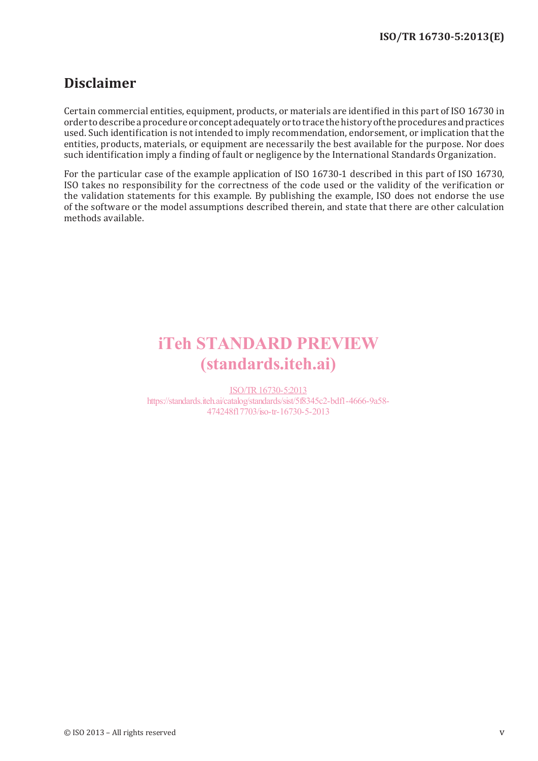## **Disclaimer**

Certain commercial entities, equipment, products, or materials are identified in this part of ISO 16730 in order to describe a procedure or concept adequately or to trace the history of the procedures and practices used. Such identification is not intended to imply recommendation, endorsement, or implication that the entities, products, materials, or equipment are necessarily the best available for the purpose. Nor does such identification imply a finding of fault or negligence by the International Standards Organization.

For the particular case of the example application of ISO 16730-1 described in this part of ISO 16730, ISO takes no responsibility for the correctness of the code used or the validity of the verification or the validation statements for this example. By publishing the example, ISO does not endorse the use of the software or the model assumptions described therein, and state that there are other calculation methods available.

# iTeh STANDARD PREVIEW (standards.iteh.ai)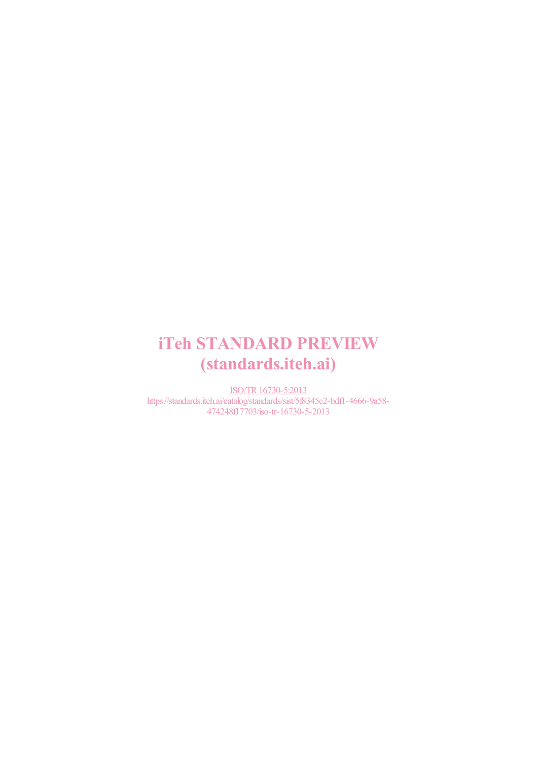# iTeh STANDARD PREVIEW (standards.iteh.ai)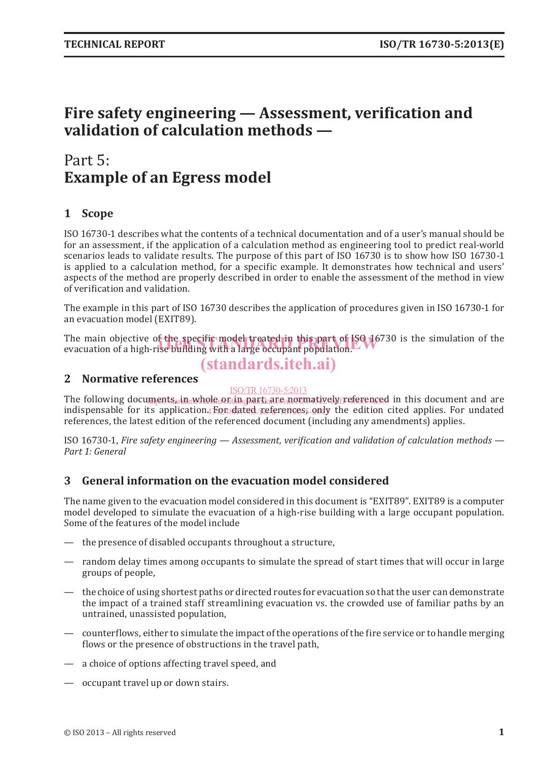## **Fire safety engineering — Assessment, verification and validation of calculation methods —**

## Part 5: **Example of an Egress model**

### **1 Scope**

ISO 16730-1 describes what the contents of a technical documentation and of a user's manual should be for an assessment, if the application of a calculation method as engineering tool to predict real-world scenarios leads to validate results. The purpose of this part of ISO 16730 is to show how ISO 16730-1 is applied to a calculation method, for a specific example. It demonstrates how technical and users' aspects of the method are properly described in order to enable the assessment of the method in view of verification and validation.

The example in this part of ISO 16730 describes the application of procedures given in ISO 16730-1 for an evacuation model (EXIT89).

The main objective of the specific model treated in this part of ISO 16730 is the simulation of the evacuation of the evacuation of the evacuation of the evacuation of the evacuation of the evacuation of the evacuation. evacuation of a high-rise building with a large occupant population.

## (standards.iteh.ai)

#### **2 Normative references**

#### ISO/TR16730-5:2013

The following documents, in whole chingpart, are normatively referenced in this document and are indispensable for its application. Fonsdated references, only the edition cited applies. For undated references, the latest edition of the referenced document (including any amendments) applies.

ISO 16730-1, *Fire safety engineering — Assessment, verification and validation of calculation methods — Part 1: General*

### **3 General information on the evacuation model considered**

The name given to the evacuation model considered in this document is "EXIT89". EXIT89 is a computer model developed to simulate the evacuation of a high-rise building with a large occupant population. Some of the features of the model include

- the presence of disabled occupants throughout a structure,
- random delay times among occupants to simulate the spread of start times that will occur in large groups of people,
- the choice of using shortest paths or directed routes for evacuation so that the user can demonstrate the impact of a trained staff streamlining evacuation vs. the crowded use of familiar paths by an untrained, unassisted population,
- counterflows, either to simulate the impact of the operations of the fire service or to handle merging flows or the presence of obstructions in the travel path,
- a choice of options affecting travel speed, and
- occupant travel up or down stairs.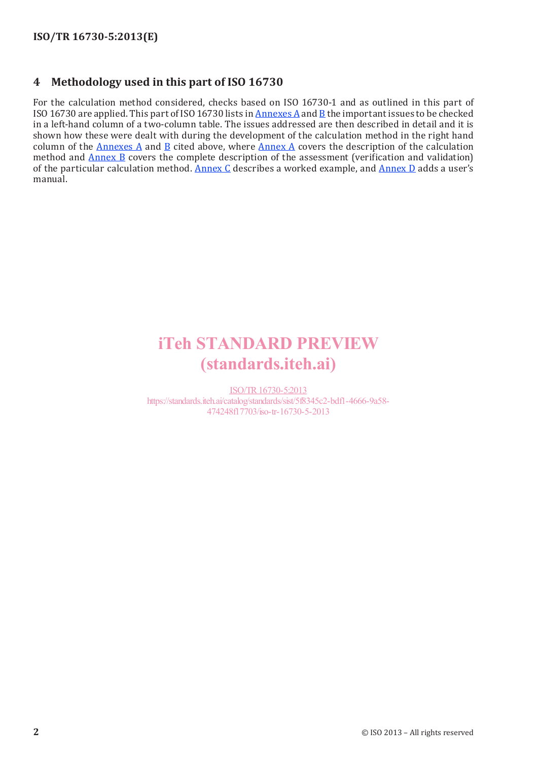### **4 Methodology used in this part of ISO 16730**

For the calculation method considered, checks based on ISO 16730-1 and as outlined in this part of ISO 16730 are applied. This part of ISO 16730 lists in Annexes A and B the important issues to be checked in a left-hand column of a two-column table. The issues addressed are then described in detail and it is shown how these were dealt with during the development of the calculation method in the right hand column of the Annexes A and B cited above, where Annex A covers the description of the calculation method and Annex B covers the complete description of the assessment (verification and validation) of the particular calculation method. Annex C describes a worked example, and Annex D adds a user's manual.

# iTeh STANDARD PREVIEW (standards.iteh.ai)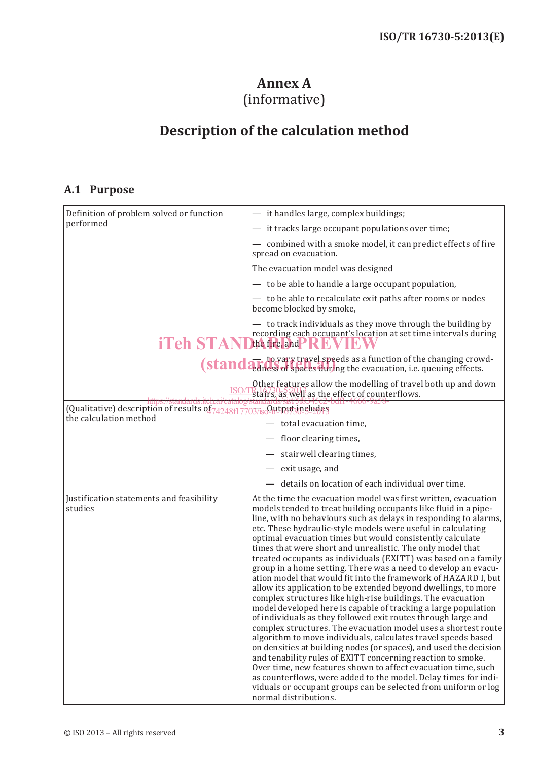## **Annex A** (informative)

# **Description of the calculation method**

## **A.1 Purpose**

| Definition of problem solved or function            | - it handles large, complex buildings;                                                                                                                                                                                                                                                                                                                                                                                                                                                                                                                                                                                                                                                                                                                                                                                                                                                                                                                                                                                                                                                                                                                                                                                                                                                                                                                                           |
|-----------------------------------------------------|----------------------------------------------------------------------------------------------------------------------------------------------------------------------------------------------------------------------------------------------------------------------------------------------------------------------------------------------------------------------------------------------------------------------------------------------------------------------------------------------------------------------------------------------------------------------------------------------------------------------------------------------------------------------------------------------------------------------------------------------------------------------------------------------------------------------------------------------------------------------------------------------------------------------------------------------------------------------------------------------------------------------------------------------------------------------------------------------------------------------------------------------------------------------------------------------------------------------------------------------------------------------------------------------------------------------------------------------------------------------------------|
| performed                                           | it tracks large occupant populations over time;                                                                                                                                                                                                                                                                                                                                                                                                                                                                                                                                                                                                                                                                                                                                                                                                                                                                                                                                                                                                                                                                                                                                                                                                                                                                                                                                  |
|                                                     | combined with a smoke model, it can predict effects of fire<br>spread on evacuation.                                                                                                                                                                                                                                                                                                                                                                                                                                                                                                                                                                                                                                                                                                                                                                                                                                                                                                                                                                                                                                                                                                                                                                                                                                                                                             |
|                                                     | The evacuation model was designed                                                                                                                                                                                                                                                                                                                                                                                                                                                                                                                                                                                                                                                                                                                                                                                                                                                                                                                                                                                                                                                                                                                                                                                                                                                                                                                                                |
|                                                     | - to be able to handle a large occupant population,                                                                                                                                                                                                                                                                                                                                                                                                                                                                                                                                                                                                                                                                                                                                                                                                                                                                                                                                                                                                                                                                                                                                                                                                                                                                                                                              |
|                                                     | - to be able to recalculate exit paths after rooms or nodes<br>become blocked by smoke,                                                                                                                                                                                                                                                                                                                                                                                                                                                                                                                                                                                                                                                                                                                                                                                                                                                                                                                                                                                                                                                                                                                                                                                                                                                                                          |
| <b>iTeh STANDthefire and REV</b>                    | - to track individuals as they move through the building by<br>recording each occupant's location at set time intervals during                                                                                                                                                                                                                                                                                                                                                                                                                                                                                                                                                                                                                                                                                                                                                                                                                                                                                                                                                                                                                                                                                                                                                                                                                                                   |
|                                                     | (stand a byary travel speeds as a function of the changing crowd-<br>seemest of spaces during the evacuation, i.e. queuing effects.                                                                                                                                                                                                                                                                                                                                                                                                                                                                                                                                                                                                                                                                                                                                                                                                                                                                                                                                                                                                                                                                                                                                                                                                                                              |
| ISO/                                                | Other features allow the modelling of travel both up and down<br>stairs, as well as the effect of counterflows.                                                                                                                                                                                                                                                                                                                                                                                                                                                                                                                                                                                                                                                                                                                                                                                                                                                                                                                                                                                                                                                                                                                                                                                                                                                                  |
| (Qualitative) description of results of             | Output includes                                                                                                                                                                                                                                                                                                                                                                                                                                                                                                                                                                                                                                                                                                                                                                                                                                                                                                                                                                                                                                                                                                                                                                                                                                                                                                                                                                  |
| the calculation method                              | $-$ total evacuation time,                                                                                                                                                                                                                                                                                                                                                                                                                                                                                                                                                                                                                                                                                                                                                                                                                                                                                                                                                                                                                                                                                                                                                                                                                                                                                                                                                       |
|                                                     | - floor clearing times,                                                                                                                                                                                                                                                                                                                                                                                                                                                                                                                                                                                                                                                                                                                                                                                                                                                                                                                                                                                                                                                                                                                                                                                                                                                                                                                                                          |
|                                                     | - stairwell clearing times,                                                                                                                                                                                                                                                                                                                                                                                                                                                                                                                                                                                                                                                                                                                                                                                                                                                                                                                                                                                                                                                                                                                                                                                                                                                                                                                                                      |
|                                                     | exit usage, and                                                                                                                                                                                                                                                                                                                                                                                                                                                                                                                                                                                                                                                                                                                                                                                                                                                                                                                                                                                                                                                                                                                                                                                                                                                                                                                                                                  |
|                                                     | details on location of each individual over time.                                                                                                                                                                                                                                                                                                                                                                                                                                                                                                                                                                                                                                                                                                                                                                                                                                                                                                                                                                                                                                                                                                                                                                                                                                                                                                                                |
| Justification statements and feasibility<br>studies | At the time the evacuation model was first written, evacuation<br>models tended to treat building occupants like fluid in a pipe-<br>line, with no behaviours such as delays in responding to alarms,<br>etc. These hydraulic-style models were useful in calculating<br>optimal evacuation times but would consistently calculate<br>times that were short and unrealistic. The only model that<br>treated occupants as individuals (EXITT) was based on a family<br>group in a home setting. There was a need to develop an evacu-<br>ation model that would fit into the framework of HAZARD I, but<br>allow its application to be extended beyond dwellings, to more<br>complex structures like high-rise buildings. The evacuation<br>model developed here is capable of tracking a large population<br>of individuals as they followed exit routes through large and<br>complex structures. The evacuation model uses a shortest route<br>algorithm to move individuals, calculates travel speeds based<br>on densities at building nodes (or spaces), and used the decision<br>and tenability rules of EXITT concerning reaction to smoke.<br>Over time, new features shown to affect evacuation time, such<br>as counterflows, were added to the model. Delay times for indi-<br>viduals or occupant groups can be selected from uniform or log<br>normal distributions. |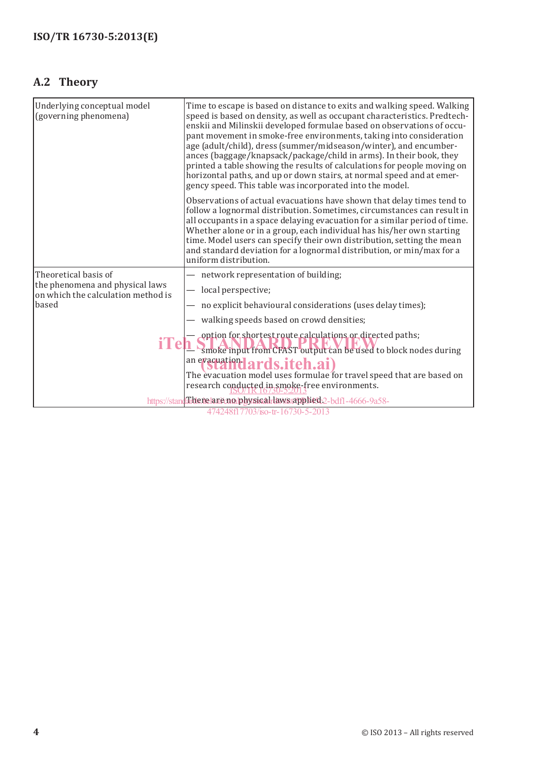## **A.2 Theory**

| Underlying conceptual model<br>(governing phenomena)                                                         | Time to escape is based on distance to exits and walking speed. Walking<br>speed is based on density, as well as occupant characteristics. Predtech-<br>enskii and Milinskii developed formulae based on observations of occu-<br>pant movement in smoke-free environments, taking into consideration<br>age (adult/child), dress (summer/midseason/winter), and encumber-<br>ances (baggage/knapsack/package/child in arms). In their book, they<br>printed a table showing the results of calculations for people moving on<br>horizontal paths, and up or down stairs, at normal speed and at emer-<br>gency speed. This table was incorporated into the model. |
|--------------------------------------------------------------------------------------------------------------|--------------------------------------------------------------------------------------------------------------------------------------------------------------------------------------------------------------------------------------------------------------------------------------------------------------------------------------------------------------------------------------------------------------------------------------------------------------------------------------------------------------------------------------------------------------------------------------------------------------------------------------------------------------------|
|                                                                                                              | Observations of actual evacuations have shown that delay times tend to<br>follow a lognormal distribution. Sometimes, circumstances can result in<br>all occupants in a space delaying evacuation for a similar period of time.<br>Whether alone or in a group, each individual has his/her own starting<br>time. Model users can specify their own distribution, setting the mean<br>and standard deviation for a lognormal distribution, or min/max for a<br>uniform distribution.                                                                                                                                                                               |
| Theoretical basis of<br>the phenomena and physical laws<br>on which the calculation method is<br>based<br>iT | network representation of building;<br>- local perspective;<br>no explicit behavioural considerations (uses delay times);<br>walking speeds based on crowd densities;<br>option for shortest route calculations or directed paths;<br>smoke input from CFAST output can be used to block nodes during<br>an evacuation lards.itch.ai)<br>The evacuation model uses formulae for travel speed that are based on<br>research conducted in smoke-free environments.                                                                                                                                                                                                   |
|                                                                                                              | https://standahenelare.no.jphysical.laws.applied.2-bdf1-4666-9a58-                                                                                                                                                                                                                                                                                                                                                                                                                                                                                                                                                                                                 |

474248f17703/iso-tr-16730-5-2013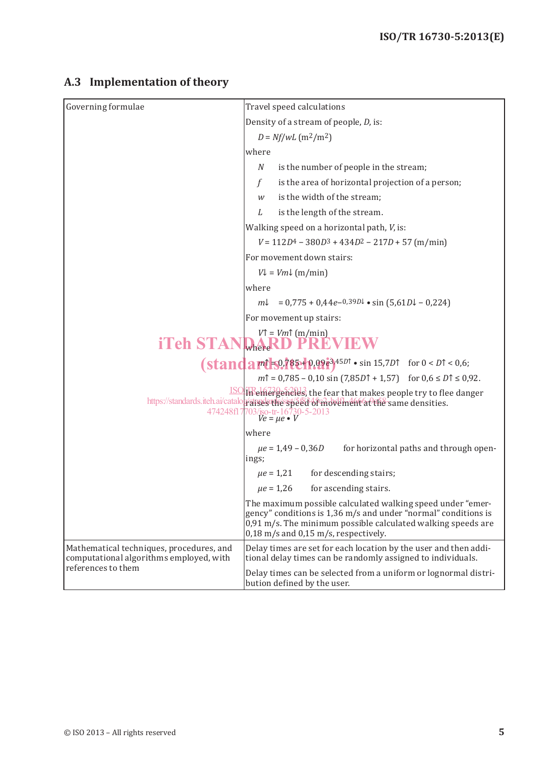#### Governing formulae Travel speed calculations Density of a stream of people, *D*, is:  $D = Nf/wL$  (m<sup>2</sup>/m<sup>2</sup>) where *N* is the number of people in the stream; *f* is the area of horizontal projection of a person; *w* is the width of the stream; *L* is the length of the stream. Walking speed on a horizontal path, *V*, is: *V* = 112*D*<sup>4</sup> − 380*D*<sup>3</sup> + 434*D*<sup>2</sup> − 217*D* + 57 (m/min) For movement down stairs: *V*↓ = *Vm*↓ (m/min) where *m*↓ = 0,775 + 0,44*e*−0,39*D*<sup>↓</sup> • sin (5,61*D*↓ − 0,224) For movement up stairs: *V*↑ = *Vm*↑ (m/min) iTeh STANDARD PREVIEW  ${\bf (standaml\&9.78510.92e^3)^{45D\uparrow}} \cdot \sin 15,7D\uparrow \text{ for } 0 < D\uparrow < 0,6;$ *m*↑ = 0.785 – 0.10 sin (7,85*D*↑ + 1,57) for 0,6 ≤ *D*↑ ≤ 0,92.  $\frac{150}{180}$  TRemergencies, the fear that makes people try to flee danger https://standards.iteh.ai/catalog/standards/siteh.ai/catalog/standards/siteh.ai/catalog/standards/sitehendards/ *Ve* = *μe* • *V* 474248f17703/iso-tr-16730-5-2013where *μe* = 1,49 – 0,36*D* for horizontal paths and through openings;  $\mu e = 1.21$  for descending stairs;  $\mu e = 1.26$  for ascending stairs. The maximum possible calculated walking speed under "emergency" conditions is 1,36 m/s and under "normal" conditions is 0,91 m/s. The minimum possible calculated walking speeds are 0,18 m/s and 0,15 m/s, respectively. Mathematical techniques, procedures, and computational algorithms employed, with references to them Delay times are set for each location by the user and then additional delay times can be randomly assigned to individuals. Delay times can be selected from a uniform or lognormal distribution defined by the user.

## **A.3 Implementation of theory**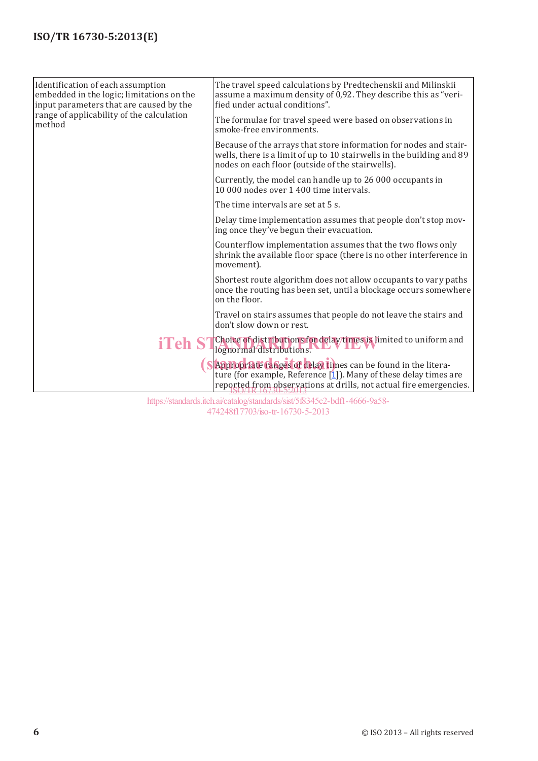| The travel speed calculations by Predtechenskii and Milinskii<br>assume a maximum density of 0,92. They describe this as "veri-<br>fied under actual conditions".                                                                 |
|-----------------------------------------------------------------------------------------------------------------------------------------------------------------------------------------------------------------------------------|
| The formulae for travel speed were based on observations in<br>smoke-free environments.                                                                                                                                           |
| Because of the arrays that store information for nodes and stair-<br>wells, there is a limit of up to 10 stairwells in the building and 89<br>nodes on each floor (outside of the stairwells).                                    |
| Currently, the model can handle up to 26 000 occupants in<br>10 000 nodes over 1 400 time intervals.                                                                                                                              |
| The time intervals are set at 5 s.                                                                                                                                                                                                |
| Delay time implementation assumes that people don't stop mov-<br>ing once they've begun their evacuation.                                                                                                                         |
| Counterflow implementation assumes that the two flows only<br>shrink the available floor space (there is no other interference in<br>movement).                                                                                   |
| Shortest route algorithm does not allow occupants to vary paths<br>once the routing has been set, until a blockage occurs somewhere<br>on the floor.                                                                              |
| Travel on stairs assumes that people do not leave the stairs and<br>don't slow down or rest.                                                                                                                                      |
| Choice of distributions for delay/times is limited to uniform and<br><b>iTeh ST</b><br>lognormal distributions.                                                                                                                   |
| S'Annoprate canges of delay times can be found in the litera-<br>ture (for example, Reference $\left[\underline{1}\right]$ ). Many of these delay times are<br>reported from observations at drills, not actual fire emergencies. |
|                                                                                                                                                                                                                                   |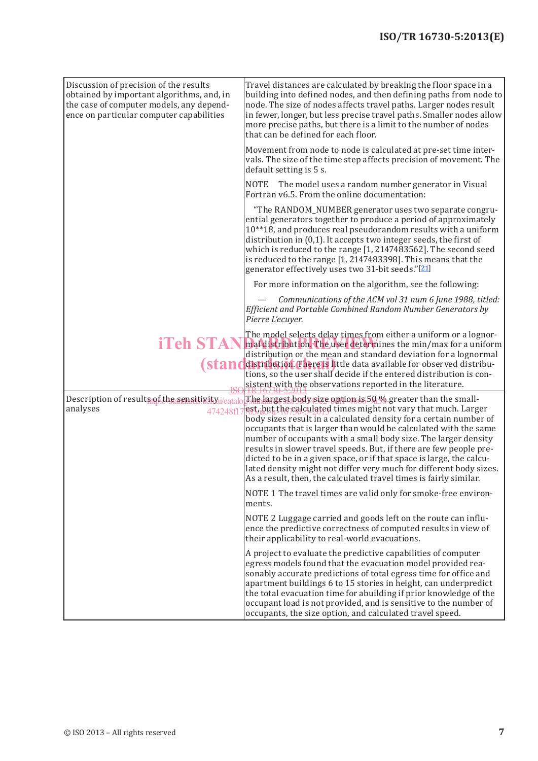## **ISO/TR 16730-5:2013(E)**

| Discussion of precision of the results<br>obtained by important algorithms, and, in<br>the case of computer models, any depend-<br>ence on particular computer capabilities | Travel distances are calculated by breaking the floor space in a<br>building into defined nodes, and then defining paths from node to<br>node. The size of nodes affects travel paths. Larger nodes result<br>in fewer, longer, but less precise travel paths. Smaller nodes allow<br>more precise paths, but there is a limit to the number of nodes<br>that can be defined for each floor.                                                                                                                                                                                                                                      |
|-----------------------------------------------------------------------------------------------------------------------------------------------------------------------------|-----------------------------------------------------------------------------------------------------------------------------------------------------------------------------------------------------------------------------------------------------------------------------------------------------------------------------------------------------------------------------------------------------------------------------------------------------------------------------------------------------------------------------------------------------------------------------------------------------------------------------------|
|                                                                                                                                                                             | Movement from node to node is calculated at pre-set time inter-<br>vals. The size of the time step affects precision of movement. The<br>default setting is 5 s.                                                                                                                                                                                                                                                                                                                                                                                                                                                                  |
|                                                                                                                                                                             | <b>NOTE</b><br>The model uses a random number generator in Visual<br>Fortran v6.5. From the online documentation:                                                                                                                                                                                                                                                                                                                                                                                                                                                                                                                 |
|                                                                                                                                                                             | "The RANDOM_NUMBER generator uses two separate congru-<br>ential generators together to produce a period of approximately<br>10**18, and produces real pseudorandom results with a uniform<br>distribution in (0,1). It accepts two integer seeds, the first of<br>which is reduced to the range [1, 2147483562]. The second seed<br>is reduced to the range [1, 2147483398]. This means that the<br>generator effectively uses two 31-bit seeds."[21]                                                                                                                                                                            |
|                                                                                                                                                                             | For more information on the algorithm, see the following:                                                                                                                                                                                                                                                                                                                                                                                                                                                                                                                                                                         |
|                                                                                                                                                                             | Communications of the ACM vol 31 num 6 June 1988, titled:<br>Efficient and Portable Combined Random Number Generators by<br>Pierre L'ecuyer.                                                                                                                                                                                                                                                                                                                                                                                                                                                                                      |
| <b>iTeh STAN</b><br><b>(stand</b>                                                                                                                                           | The model selects delay times from either a uniform or a lognor-<br>mal distribution. The user determines the min/max for a uniform<br>distribution or the mean and standard deviation for a lognormal<br>distribution. There is little data available for observed distribu-<br>tions, so the user shall decide if the entered distribution is con-<br>sistent with the observations reported in the literature.                                                                                                                                                                                                                 |
| Description of results of the sensitivity i/catalo<br>analyses<br>474248fl                                                                                                  | The largest body size option is 50 % greater than the small-<br>est, but the calculated times might not vary that much. Larger<br>body sizes result in a calculated density for a certain number of<br>occupants that is larger than would be calculated with the same<br>number of occupants with a small body size. The larger density<br>results in slower travel speeds. But, if there are few people pre-<br>dicted to be in a given space, or if that space is large, the calcu-<br>lated density might not differ very much for different body sizes.<br>As a result, then, the calculated travel times is fairly similar. |
|                                                                                                                                                                             | NOTE 1 The travel times are valid only for smoke-free environ-<br>ments.                                                                                                                                                                                                                                                                                                                                                                                                                                                                                                                                                          |
|                                                                                                                                                                             | NOTE 2 Luggage carried and goods left on the route can influ-<br>ence the predictive correctness of computed results in view of<br>their applicability to real-world evacuations.                                                                                                                                                                                                                                                                                                                                                                                                                                                 |
|                                                                                                                                                                             | A project to evaluate the predictive capabilities of computer<br>egress models found that the evacuation model provided rea-<br>sonably accurate predictions of total egress time for office and<br>apartment buildings 6 to 15 stories in height, can underpredict<br>the total evacuation time for abuilding if prior knowledge of the<br>occupant load is not provided, and is sensitive to the number of<br>occupants, the size option, and calculated travel speed.                                                                                                                                                          |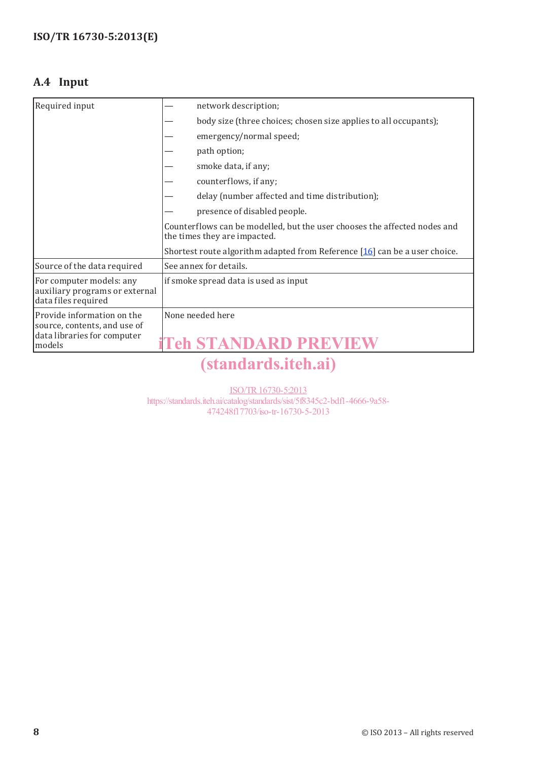## **A.4 Input**

| Required input                                                                            | network description;                                                                                      |  |
|-------------------------------------------------------------------------------------------|-----------------------------------------------------------------------------------------------------------|--|
|                                                                                           | body size (three choices; chosen size applies to all occupants);                                          |  |
|                                                                                           | emergency/normal speed;                                                                                   |  |
|                                                                                           | path option;                                                                                              |  |
|                                                                                           | smoke data, if any;                                                                                       |  |
|                                                                                           | counterflows, if any;                                                                                     |  |
|                                                                                           | delay (number affected and time distribution);                                                            |  |
|                                                                                           | presence of disabled people.                                                                              |  |
|                                                                                           | Counterflows can be modelled, but the user chooses the affected nodes and<br>the times they are impacted. |  |
|                                                                                           | Shortest route algorithm adapted from Reference $[16]$ can be a user choice.                              |  |
| Source of the data required                                                               | See annex for details.                                                                                    |  |
| For computer models: any<br>auxiliary programs or external<br>data files required         | if smoke spread data is used as input                                                                     |  |
| Provide information on the<br>source, contents, and use of<br>data libraries for computer | None needed here                                                                                          |  |
| models                                                                                    | <b>Teh STANDARD PREVIEV</b>                                                                               |  |
|                                                                                           | $\lambda$ , the state of $\lambda$ , the state of $\lambda$                                               |  |

# (standards.iteh.ai)